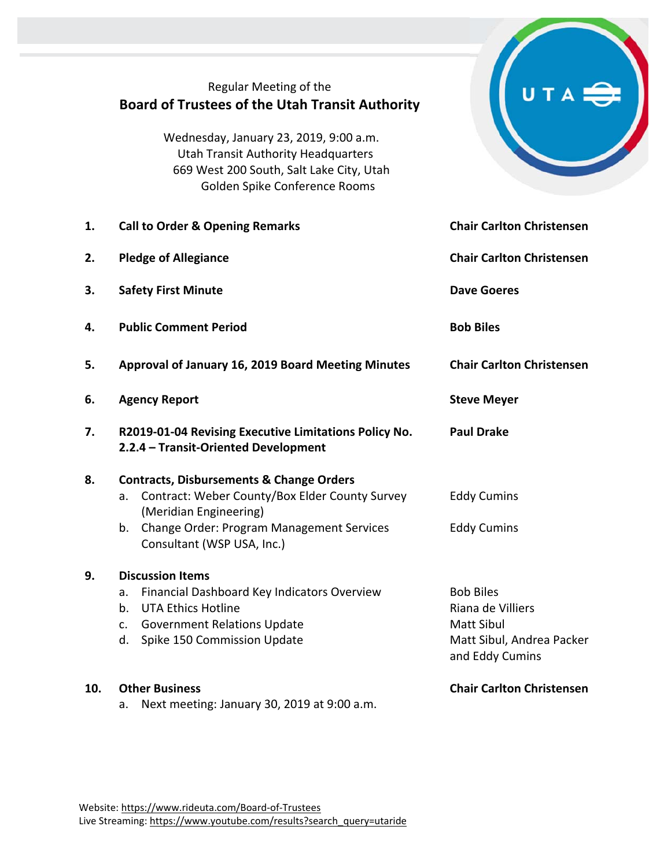|     | Regular Meeting of the<br><b>Board of Trustees of the Utah Transit Authority</b>                                                                                                                                              |                                                                                                            |
|-----|-------------------------------------------------------------------------------------------------------------------------------------------------------------------------------------------------------------------------------|------------------------------------------------------------------------------------------------------------|
|     | Wednesday, January 23, 2019, 9:00 a.m.<br><b>Utah Transit Authority Headquarters</b><br>669 West 200 South, Salt Lake City, Utah<br>Golden Spike Conference Rooms                                                             |                                                                                                            |
| 1.  | <b>Call to Order &amp; Opening Remarks</b>                                                                                                                                                                                    | <b>Chair Carlton Christensen</b>                                                                           |
| 2.  | <b>Pledge of Allegiance</b>                                                                                                                                                                                                   | <b>Chair Carlton Christensen</b>                                                                           |
| 3.  | <b>Safety First Minute</b>                                                                                                                                                                                                    | <b>Dave Goeres</b>                                                                                         |
| 4.  | <b>Public Comment Period</b>                                                                                                                                                                                                  | <b>Bob Biles</b>                                                                                           |
| 5.  | Approval of January 16, 2019 Board Meeting Minutes                                                                                                                                                                            | <b>Chair Carlton Christensen</b>                                                                           |
| 6.  | <b>Agency Report</b>                                                                                                                                                                                                          | <b>Steve Meyer</b>                                                                                         |
| 7.  | R2019-01-04 Revising Executive Limitations Policy No.<br>2.2.4 - Transit-Oriented Development                                                                                                                                 | <b>Paul Drake</b>                                                                                          |
| 8.  | <b>Contracts, Disbursements &amp; Change Orders</b><br>Contract: Weber County/Box Elder County Survey<br>a.<br>(Meridian Engineering)<br><b>Change Order: Program Management Services</b><br>b.<br>Consultant (WSP USA, Inc.) | <b>Eddy Cumins</b><br><b>Eddy Cumins</b>                                                                   |
| 9.  | <b>Discussion Items</b><br>Financial Dashboard Key Indicators Overview<br>a.<br><b>UTA Ethics Hotline</b><br>b.<br><b>Government Relations Update</b><br>c.<br>Spike 150 Commission Update<br>d.                              | <b>Bob Biles</b><br>Riana de Villiers<br><b>Matt Sibul</b><br>Matt Sibul, Andrea Packer<br>and Eddy Cumins |
| 10. | <b>Other Business</b><br>Next meeting: January 30, 2019 at 9:00 a.m.<br>a.                                                                                                                                                    | <b>Chair Carlton Christensen</b>                                                                           |